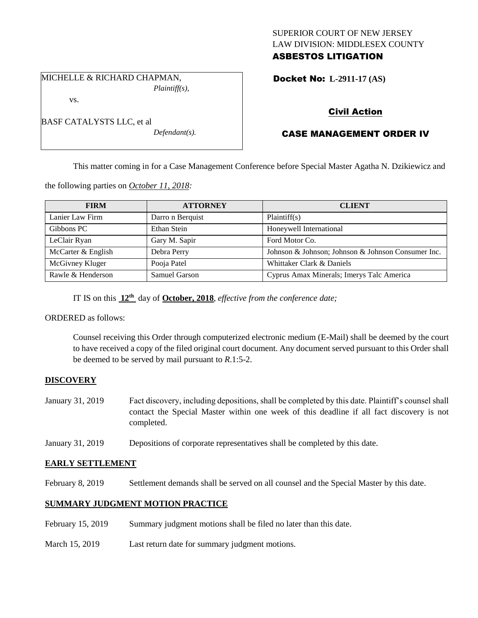## SUPERIOR COURT OF NEW JERSEY LAW DIVISION: MIDDLESEX COUNTY ASBESTOS LITIGATION

Docket No: **L-2911-17 (AS)** 

# Civil Action

## CASE MANAGEMENT ORDER IV

This matter coming in for a Case Management Conference before Special Master Agatha N. Dzikiewicz and

the following parties on *October 11, 2018:*

| <b>FIRM</b>        | <b>ATTORNEY</b>  | <b>CLIENT</b>                                      |
|--------------------|------------------|----------------------------------------------------|
| Lanier Law Firm    | Darro n Berquist | Plaintiff(s)                                       |
| Gibbons PC         | Ethan Stein      | Honeywell International                            |
| LeClair Ryan       | Gary M. Sapir    | Ford Motor Co.                                     |
| McCarter & English | Debra Perry      | Johnson & Johnson; Johnson & Johnson Consumer Inc. |
| McGivney Kluger    | Pooja Patel      | Whittaker Clark & Daniels                          |
| Rawle & Henderson  | Samuel Garson    | Cyprus Amax Minerals; Imerys Talc America          |

IT IS on this **12th** day of **October, 2018**, *effective from the conference date;*

*Defendant(s).*

ORDERED as follows:

Counsel receiving this Order through computerized electronic medium (E-Mail) shall be deemed by the court to have received a copy of the filed original court document. Any document served pursuant to this Order shall be deemed to be served by mail pursuant to *R*.1:5-2.

## **DISCOVERY**

- January 31, 2019 Fact discovery, including depositions, shall be completed by this date. Plaintiff's counsel shall contact the Special Master within one week of this deadline if all fact discovery is not completed.
- January 31, 2019 Depositions of corporate representatives shall be completed by this date.

## **EARLY SETTLEMENT**

February 8, 2019 Settlement demands shall be served on all counsel and the Special Master by this date.

## **SUMMARY JUDGMENT MOTION PRACTICE**

- February 15, 2019 Summary judgment motions shall be filed no later than this date.
- March 15, 2019 Last return date for summary judgment motions.

MICHELLE & RICHARD CHAPMAN, *Plaintiff(s),*

BASF CATALYSTS LLC, et al

vs.